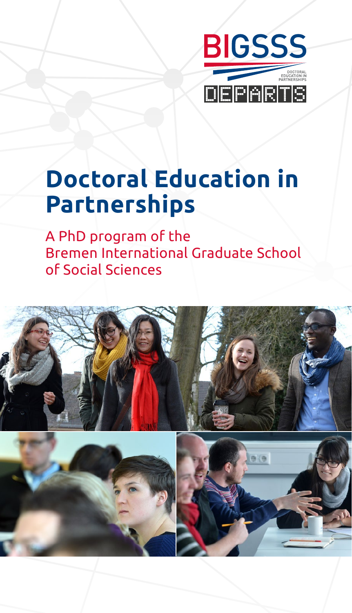

## **Doctoral Education in Partnerships**

A PhD program of the Bremen International Graduate School of Social Sciences